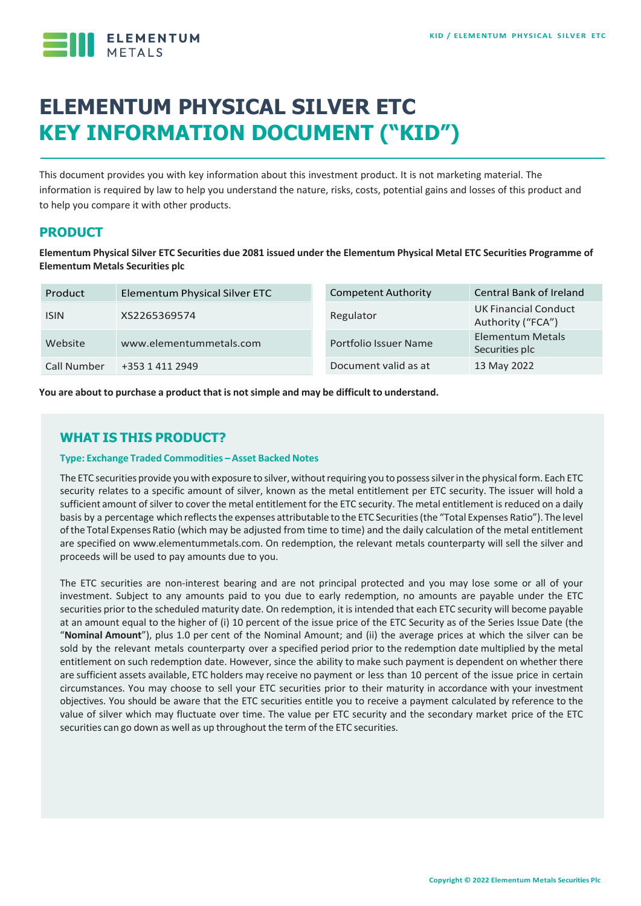

# **ELEMENTUM PHYSICAL SILVER ETC KEY INFORMATION DOCUMENT ("KID")**

This document provides you with key information about this investment product. It is not marketing material. The information is required by law to help you understand the nature, risks, costs, potential gains and losses of this product and to help you compare it with other products.

# **PRODUCT**

**Elementum Physical Silver ETC Securities due 2081 issued under the Elementum Physical Metal ETC Securities Programme of Elementum Metals Securities plc**

| Product     | Elementum Physical Silver ETC | <b>Competent Authority</b> | <b>Central Bank of Ireland</b>                   |
|-------------|-------------------------------|----------------------------|--------------------------------------------------|
| <b>ISIN</b> | XS2265369574                  | Regulator                  | <b>UK Financial Conduct</b><br>Authority ("FCA") |
| Website     | www.elementummetals.com       | Portfolio Issuer Name      | <b>Elementum Metals</b><br>Securities plc        |
| Call Number | +353 1 411 2949               | Document valid as at       | 13 May 2022                                      |

**You are about to purchase a product that is notsimple and may be difficult to understand.**

# **WHAT IS THIS PRODUCT?**

#### **Type: Exchange Traded Commodities –Asset Backed Notes**

The ETC securities provide you with exposure to silver, without requiring you to possess silver in the physical form. Each ETC security relates to a specific amount of silver, known as the metal entitlement per ETC security. The issuer will hold a sufficient amount of silver to cover the metal entitlement for the ETC security. The metal entitlement is reduced on a daily basis by a percentage which reflects the expenses attributable to the ETC Securities (the "Total Expenses Ratio"). The level ofthe Total Expenses Ratio (which may be adjusted from time to time) and the daily calculation of the metal entitlement are specified on www.elementummetals.com. On redemption, the relevant metals counterparty will sell the silver and proceeds will be used to pay amounts due to you.

The ETC securities are non-interest bearing and are not principal protected and you may lose some or all of your investment. Subject to any amounts paid to you due to early redemption, no amounts are payable under the ETC securities prior to the scheduled maturity date. On redemption, it is intended that each ETC security will become payable at an amount equal to the higher of (i) 10 percent of the issue price of the ETC Security as of the Series Issue Date (the "**Nominal Amount**"), plus 1.0 per cent of the Nominal Amount; and (ii) the average prices at which the silver can be sold by the relevant metals counterparty over a specified period prior to the redemption date multiplied by the metal entitlement on such redemption date. However, since the ability to make such payment is dependent on whether there are sufficient assets available, ETC holders may receive no payment or less than 10 percent of the issue price in certain circumstances. You may choose to sell your ETC securities prior to their maturity in accordance with your investment objectives. You should be aware that the ETC securities entitle you to receive a payment calculated by reference to the value of silver which may fluctuate over time. The value per ETC security and the secondary market price of the ETC securities can go down as well as up throughout the term of the ETC securities.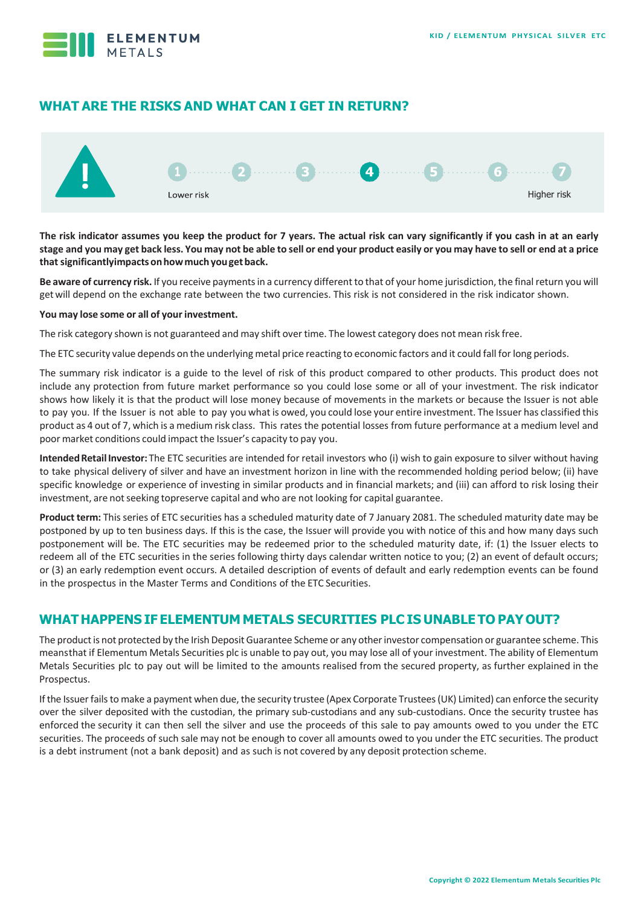

# **WHAT ARE THE RISKS AND WHAT CAN I GET IN RETURN?**



**The risk indicator assumes you keep the product for 7 years. The actual risk can vary significantly if you cash in at an early**  stage and you may get back less. You may not be able to sell or end your product easily or you may have to sell or end at a price **thatsignificantlyimpactsonhowmuchyougetback.**

Be aware of currency risk. If you receive payments in a currency different to that of your home jurisdiction, the final return you will getwill depend on the exchange rate between the two currencies. This risk is not considered in the risk indicator shown.

#### **You may lose some or all of your investment.**

The risk category shown is not guaranteed and may shift over time. The lowest category does not mean risk free.

The ETC security value depends on the underlying metal price reacting to economic factors and it could fall forlong periods.

The summary risk indicator is a guide to the level of risk of this product compared to other products. This product does not include any protection from future market performance so you could lose some or all of your investment. The risk indicator shows how likely it is that the product will lose money because of movements in the markets or because the Issuer is not able to pay you. If the Issuer is not able to pay you what is owed, you could lose your entire investment. The Issuer has classified this product as 4 out of 7, which is a medium risk class. This rates the potential losses from future performance at a medium level and poor market conditions could impact the Issuer's capacity to pay you.

Intended Retail Investor: The ETC securities are intended for retail investors who (i) wish to gain exposure to silver without having to take physical delivery of silver and have an investment horizon in line with the recommended holding period below; (ii) have specific knowledge or experience of investing in similar products and in financial markets; and (iii) can afford to risk losing their investment, are not seeking topreserve capital and who are not looking for capital guarantee.

**Product term:** This series of ETC securities has a scheduled maturity date of 7 January 2081. The scheduled maturity date may be postponed by up to ten business days. If this is the case, the Issuer will provide you with notice of this and how many days such postponement will be. The ETC securities may be redeemed prior to the scheduled maturity date, if: (1) the Issuer elects to redeem all of the ETC securities in the series following thirty days calendar written notice to you; (2) an event of default occurs; or (3) an early redemption event occurs. A detailed description of events of default and early redemption events can be found in the prospectus in the Master Terms and Conditions of the ETC Securities.

## **WHAT HAPPENS IF ELEMENTUM METALS SECURITIES PLC IS UNABLE TO PAYOUT?**

The product is not protected by the Irish Deposit Guarantee Scheme or any other investor compensation or guarantee scheme. This meansthat if Elementum Metals Securities plc is unable to pay out, you may lose all of your investment. The ability of Elementum Metals Securities plc to pay out will be limited to the amounts realised from the secured property, as further explained in the Prospectus.

If the Issuer fails to make a payment when due, the security trustee (Apex Corporate Trustees (UK) Limited) can enforce the security over the silver deposited with the custodian, the primary sub-custodians and any sub-custodians. Once the security trustee has enforced the security it can then sell the silver and use the proceeds of this sale to pay amounts owed to you under the ETC securities. The proceeds of such sale may not be enough to cover all amounts owed to you under the ETC securities. The product is a debt instrument (not a bank deposit) and as such is not covered by any deposit protection scheme.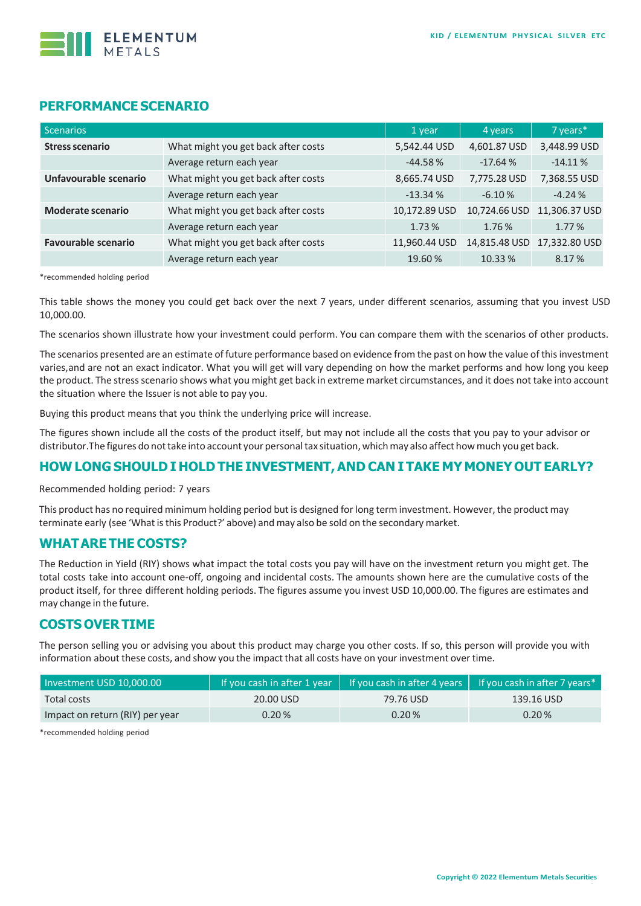

#### **PERFORMANCE SCENARIO**

| Scenarios                  |                                     | 1 year        | 4 years       | 7 years*      |
|----------------------------|-------------------------------------|---------------|---------------|---------------|
| <b>Stress scenario</b>     | What might you get back after costs | 5,542.44 USD  | 4,601.87 USD  | 3,448.99 USD  |
|                            | Average return each year            | $-44.58%$     | $-17.64%$     | $-14.11%$     |
| Unfavourable scenario      | What might you get back after costs | 8,665.74 USD  | 7,775.28 USD  | 7,368.55 USD  |
|                            | Average return each year            | $-13.34%$     | $-6.10%$      | $-4.24%$      |
| <b>Moderate scenario</b>   | What might you get back after costs | 10,172.89 USD | 10,724.66 USD | 11,306.37 USD |
|                            | Average return each year            | 1.73%         | 1.76%         | 1.77 %        |
| <b>Favourable scenario</b> | What might you get back after costs | 11,960.44 USD | 14,815.48 USD | 17,332.80 USD |
|                            | Average return each year            | 19.60%        | 10.33 %       | 8.17%         |

\*recommended holding period

This table shows the money you could get back over the next 7 years, under different scenarios, assuming that you invest USD 10,000.00.

The scenarios shown illustrate how your investment could perform. You can compare them with the scenarios of other products.

The scenarios presented are an estimate of future performance based on evidence from the past on how the value of this investment varies,and are not an exact indicator. What you will get will vary depending on how the market performs and how long you keep the product. The stressscenario shows what you might get back in extreme market circumstances, and it does not take into account the situation where the Issuer is not able to pay you.

Buying this product means that you think the underlying price will increase.

The figures shown include all the costs of the product itself, but may not include all the costs that you pay to your advisor or distributor.The figures do nottake into account your personaltax situation, whichmay also affect howmuch you get back.

#### **HOW LONG SHOULD I HOLD THE INVESTMENT,AND CAN I TAKE MY MONEY OUT EARLY?**

Recommended holding period: 7 years

This product has no required minimum holding period but is designed forlong term investment. However, the product may terminate early (see 'What is this Product?' above) and may also be sold on the secondary market.

#### **WHATARE THE COSTS?**

The Reduction in Yield (RIY) shows what impact the total costs you pay will have on the investment return you might get. The total costs take into account one-off, ongoing and incidental costs. The amounts shown here are the cumulative costs of the product itself, for three different holding periods. The figures assume you invest USD 10,000.00. The figures are estimates and may change in the future.

## **COSTS OVER TIME**

The person selling you or advising you about this product may charge you other costs. If so, this person will provide you with information about these costs, and show you the impact that all costs have on your investment over time.

| Investment USD 10,000.00        |           |           | If you cash in after 1 year $\parallel$ If you cash in after 4 years $\parallel$ If you cash in after 7 years* |  |
|---------------------------------|-----------|-----------|----------------------------------------------------------------------------------------------------------------|--|
| Total costs                     | 20.00 USD | 79.76 USD | 139.16 USD                                                                                                     |  |
| Impact on return (RIY) per year | 0.20%     | 0.20%     | 0.20%                                                                                                          |  |

\*recommended holding period